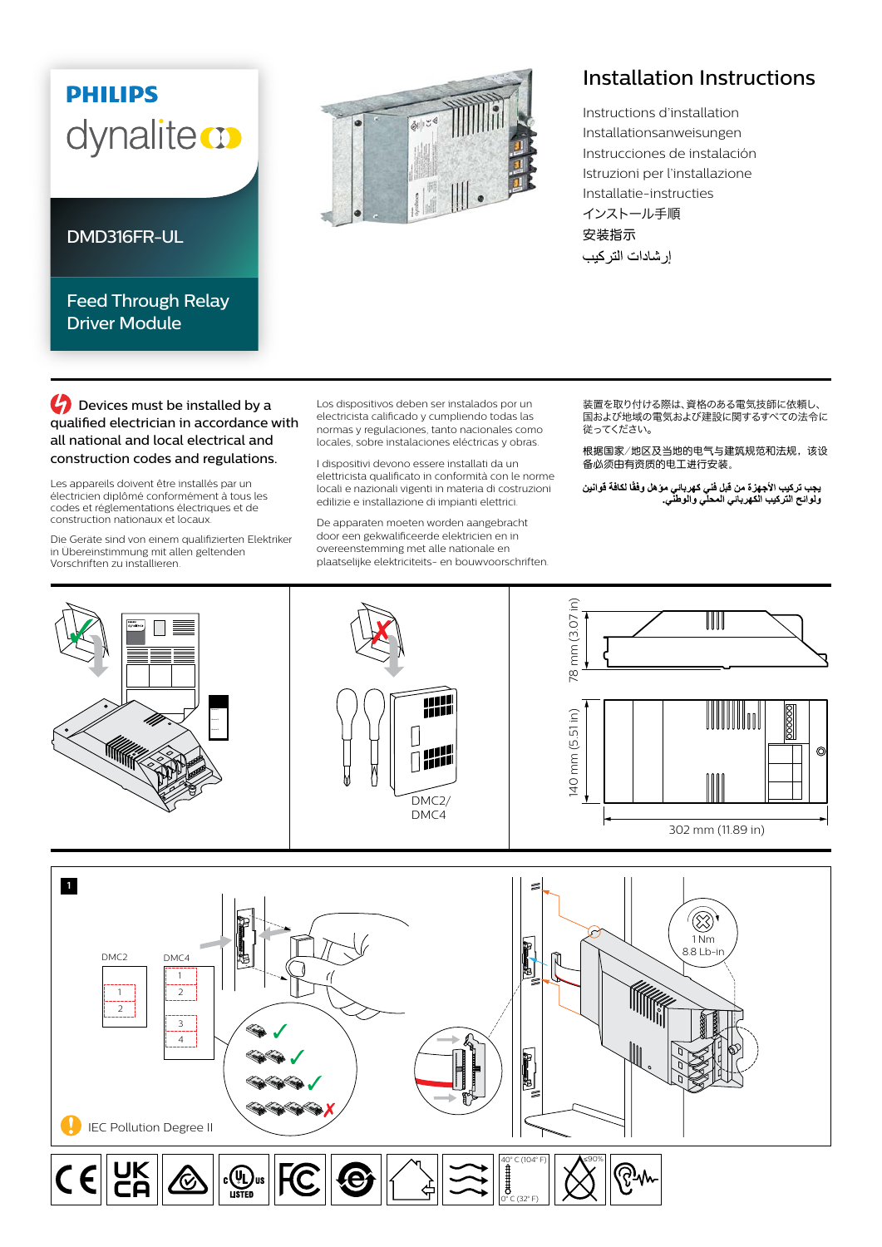## **PHILIPS** dynaliteco

## DMD316FR-UL

## Feed Through Relay Driver Module



## Installation Instructions

Instructions d'installation Installationsanweisungen Instrucciones de instalación Istruzioni per l'installazione Installatie-instructies インストール手順 安装指示 إر شادات التر كيب

**C** Devices must be installed by a qualified electrician in accordance with all national and local electrical and construction codes and regulations.

Les appareils doivent être installés par un électricien diplômé conformément à tous les codes et réglementations électriques et de construction nationaux et locaux.

Die Geräte sind von einem qualifizierten Elektriker in Übereinstimmung mit allen geltenden Vorschriften zu installieren.

Los dispositivos deben ser instalados por un electricista calificado y cumpliendo todas las normas y regulaciones, tanto nacionales como locales, sobre instalaciones eléctricas y obras.

I dispositivi devono essere installati da un elettricista qualificato in conformità con le norme locali e nazionali vigenti in materia di costruzioni edilizie e installazione di impianti elettrici.

De apparaten moeten worden aangebracht door een gekwalificeerde elektricien en in overeenstemming met alle nationale en plaatselijke elektriciteits- en bouwvoorschriften. 装置を取り付ける際は、資格のある電気技師に依頼し、 ーーーーーーの あいい ストック・コントントーム しくく こうしゃ 従ってください。

根据国家/地区及当地的电气与建筑规范和法规,该设 备必须由有资质的电工进行安装。

يجب تركيب الأجهزة من قبل فني كهرباني موّ هل وفقًا لكافة قوانين<br>ولوائح التركيب الكهرباني المحلي والوطني<sub>.</sub>